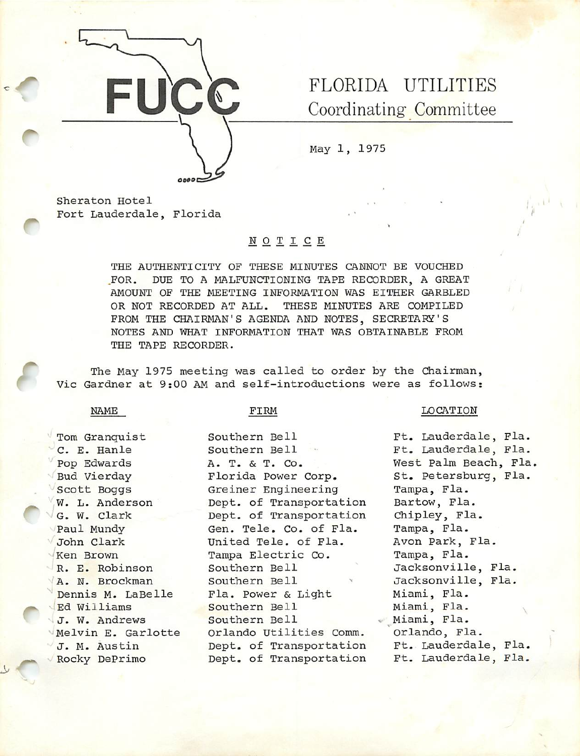

0900

FLORIDA UTILITIES Coordinating Committee

May 1, 1975

Sheraton Hotel Fort Lauderdale, Florida

# NOTICE

THE AUTHENTICITY OF THESE MINUTES CANNOT BE VOUCHED FOR. DUE TO A MALFUNCTIONING TAPE RECORDER, A GREAT AMOUNT OF THE MEETING INFORMATION WAS EITHER GARBLED OR NOT RECORDED AT ALL. THESE MINUTES ARE COMPILED FROM THE CHAIRMAN'S AGENDA AND NOTES, SECRETARY'S NOTES AND WHAT INFORMATION THAT WAS OBTAINABLE FROM THE TAPE RECORDER.

The May 1975 meeting was called to order by the Chairman, Vic Gardner at 9:00 AM and self-introductions were as follows:

NAME

f

### FIRM

Southern Bell

Tom Granquist C. E. Hanle Pop Edwards Bud Vierday Scott Boggs W. L. Anderson G. W. Clark Paul Mundy John Clark 'Ken Brown R. E. Robinson A. N. Brockman Dennis M. LaBelle Ed Williams . J. W. Andrews 'Melvin E. Garlotte J. M. Austin Rocky DePrimo

Southern Bell A. T. & T. Co. Florida Power Corp. Greiner Engineering Dept. of Transportation Dept. of Transportation Gen. Tele, Co. of Fla. United Tele, of Fla. Tampa Electric Co. Southern Bell Southern Bell Fla. Power & Light Southern Bell Southern Bell Orlando Utilities Comm. Dept. of Transportation Dept. of Transportation

# LOCATION

Ft. Lauderdale, Fla. Ft. Lauderdale, Fla. West Palm Beach, Fla, St. Petersburg, Fla. Tampa, Fla. Bartow, Fla. Chipley, Fla. Tampa, Fla. Avon Park, Fla. Tampa, Fla. Jacksonville, Fla. Jacksonvilie, Fla. Miami, Fla. Miami, Fla. Miami, Fla. Orlando, Fla. Ft. Lauderdale, Fla. Ft. Lauderdale, Fla.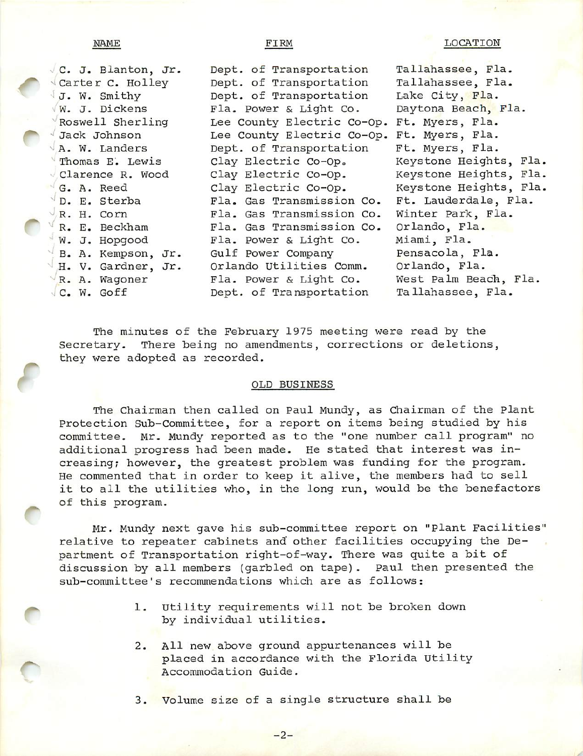r

| C. J. Blanton, Jr. | Dept. of Transportation    | Tallahassee, Fla.      |
|--------------------|----------------------------|------------------------|
| Carter C. Holley   | Dept. of Transportation    | Tallahassee, Fla.      |
| J. W. Smithy       | Dept. of Transportation    | Lake City, Fla.        |
| W. J. Dickens      | Fla. Power & Light Co.     | Daytona Beach, Fla.    |
| Roswell Sherling   | Lee County Electric Co-Op. | Ft. Myers, Fla.        |
| Jack Johnson       | Lee County Electric Co-Op. | Ft. Myers, Fla.        |
| A. W. Landers      | Dept. of Transportation    | Ft. Myers, Fla.        |
| Thomas E. Lewis    | Clay Electric Co-Op.       | Keystone Heights, Fla. |
| Clarence R. Wood   | Clay Electric Co-Op.       | Keystone Heights, Fla. |
| G. A. Reed         | Clay Electric Co-Op.       | Keystone Heights, Fla. |
| D. E. Sterba       | Fla. Gas Transmission Co.  | Ft. Lauderdale, Fla.   |
| R. H. Corn         | Fla. Gas Transmission Co.  | Winter Park, Fla.      |
| R. E. Beckham      | Fla. Gas Transmission Co.  | Orlando, Fla.          |
| W. J. Hopgood      | Fla. Power & Light Co.     | Miami, Fla.            |
| B. A. Kempson, Jr. | Gulf Power Company         | Pensacola, Fla.        |
| H. V. Gardner, Jr. | Orlando Utilities Comm.    | Orlando, Fla.          |
| R. A. Wagoner      | Fla. Power & Light Co.     | West Palm Beach, Fla.  |
| C. W. Goff         | Dept. of Transportation    | Tallahassee, Fla.      |
|                    |                            |                        |

The minutes of the February 1975 meeting were read by the Secretary. There being no amendments, corrections or deletions, they were adopted as recorded.

# OLD BUSINESS

The Chairman then called on Paul Mundy, as Chairman of the plant Protection Sub-Committee, for a report on items being studied by his committee. Mr. Mundy reported as to the "one number call program" no additional progress had been made. He stated that interest was in creasing; however, the greatest problem was funding for the program. He commented that in order to keep it alive, the members had to sell it to all the utilities who, in the long run, would be the benefactors of this program.

Mr. Mundy next gave his sub-committee report on "plant Facilities" relative to repeater cabinets and other facilities occupying the De partment of Transportation right-of-way. There was quite a bit of discussion by all members (garbled on tape). Paul then presented the sub-committee's recommendations which are as follows;

- l. Utility requirements will not be broken down by individual utilities.
- 2. All new above ground appurtenances will be placed in accordance with the Florida Utility Accommodation Guide.

3. Volume size of a single structure shall be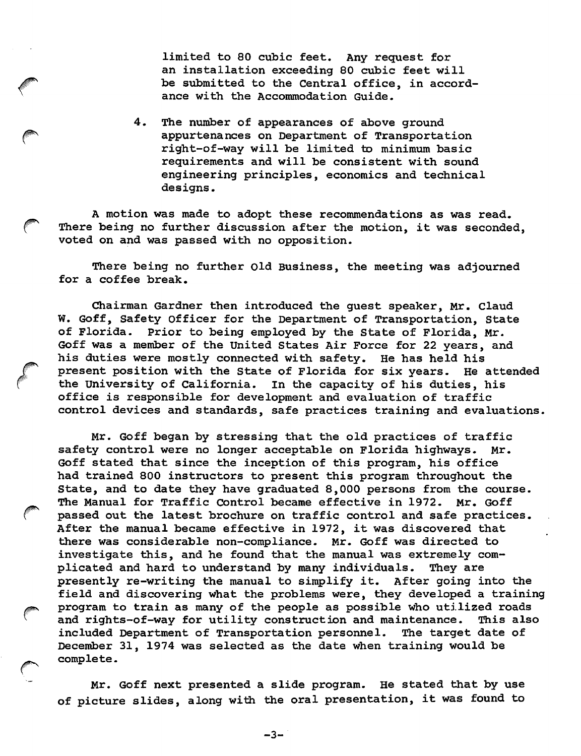limited to 80 cubic feet. Any request for an installation exceeding 80 cubic feet will be submitted to the Central office, in accord ance with the Accommodation Guide.

4. The number of appearances of above ground appurtenances on Department of Transportation right-of-way will be limited to minimum basic requirements and will be consistent with sound engineering principles, economics and technical designs.

A motion was made to adopt these recommendations as was read. There being no further discussion after the motion, it was seconded, voted on and was passed with no opposition.

There being no further Old Business, the meeting was adjourned for a coffee break.

Chairman Gardner then introduced the guest speaker, Mr. Claud W. Goff, Safety Officer for the Department of Transportation, State of Florida. Prior to being employed by the State of Florida, Mr. Goff was a member of the United States Air Force for 22 years, and his duties were mostly connected with safety. He has held his present position with the State of Florida for six years. He attended the University of California, in the capacity of his duties, his office is responsible for development and evaluation of traffic control devices and standards, safe practices training and evaluations.

Mr. Goff began by stressing that the old practices of traffic safety control were no longer acceptable on Florida highways. Mr. Goff stated that since the inception of this program, his office had trained 800 instructors to present this program throughout the State, and to date they have graduated 8,000 persons from the course. The Manual for Traffic Control became effective in 1972. Mr. Goff passed out the latest brochure on traffic control and safe practices. After the manual became effective in 1972, it was discovered that there was considerable non-compliance. Mr. Goff was directed to investigate this, and he found that the manual was extremely com plicated and hard to understand by many individuals. They are presently re-writing the manual to simplify it. After going into the field and discovering what the problems were, they developed a training program to train as many of the people as possible who utilized roads and rights-of-way for utility constmction and maintenance. This also included Department of Transportation personnel. The target date of December 31, 1974 was selected as the date when training would be complete.

Mr. Goff next presented a slide program. He stated that by use of picture slides, along with the oral presentation, it was found to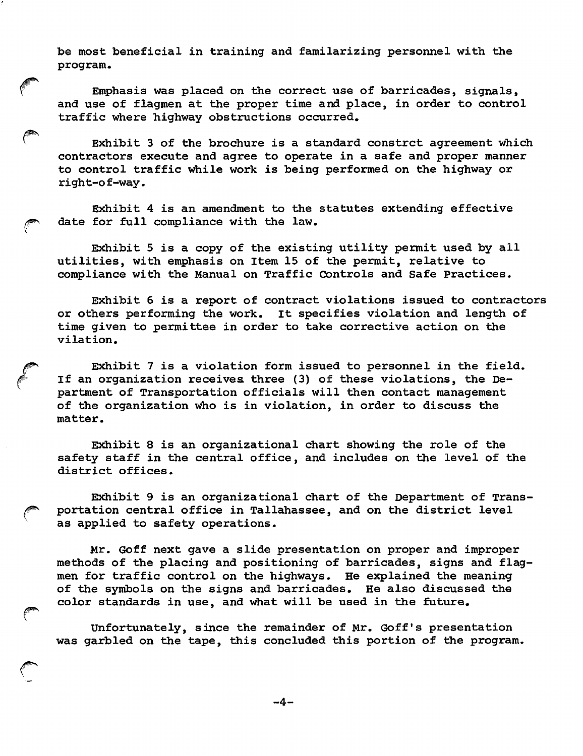be most beneficial in training and familarizing personnel with the program.

Emphasis was placed on the correct use of barricades, signals, and use of flagmen at the proper time and place, in order to control traffic where highway obstructions occurred.

Exhibit 3 of the brochure is a standard constrct agreement which contractors execute and agree to operate in a safe and proper manner to control traffic while work is being performed on the highway or right-o f-way.

Exhibit 4 is an amendment to the statutes extending effective date for full compliance with the law.

Exhibit 5 is a copy of the existing utility permit used by all utilities, with emphasis on Item 15 of the permit, relative to compliance with the Manual on Traffic Controls and Safe Practices.

Exhibit 6 is a report of contract violations issued to contractors or others performing the work. It specifies violation and length of time given to permittee in order to take corrective action on the vilation.

Exhibit 7 is a violation form issued to personnel in the field. If an organization receives three (3) of these violations, the De partment of Transportation officials will then contact management of the organization who is in violation, in order to discuss the matter.

Exhibit 8 is an organizational chart showing the role of the safety staff in the central office, and includes on the level of the district offices.

Exhibit 9 is an organizational chart of the Department of Transportation central office in Tallahassee, and on the district level as applied to safety operations.

Mr. Goff next gave a slide presentation on proper and improper methods of the placing and positioning of barricades, signs and flag men for traffic control on the highways. He explained the meaning of the symbols on the signs and barricades. He also discussed the color standards in use, and what will be used in the future.

Unfortunately, since the remainder of Mr. Goff's presentation was garbled on the tape, this concluded this portion of the program.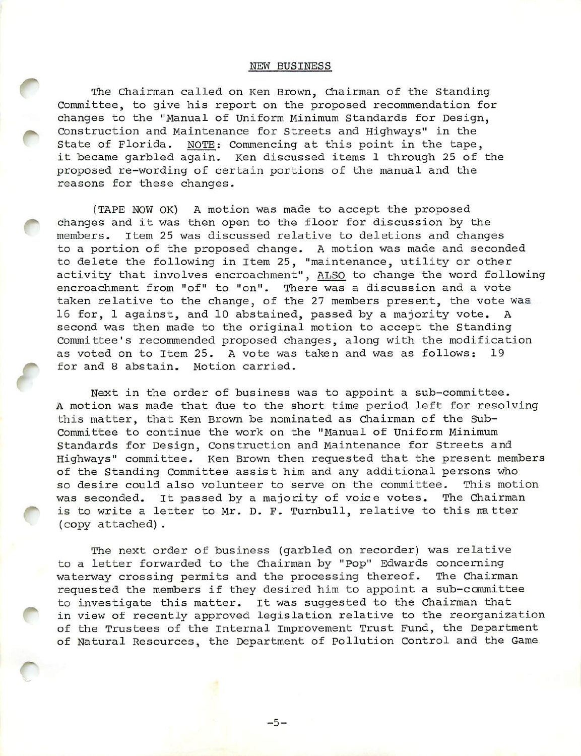# NEW BUSINESS

The Chairman called on Ken Brown, Chairman of the Standing Committee, to give his report on the proposed recommendation for changes to the "Manual of Uniform Minimum Standards for Design, Construction and Maintenance for Streets and Highways" in the State of Florida. NOTE; Commencing at this point in the tape, it became garbled again. Ken discussed items 1 through 25 of the proposed re-wording of certain portions of the manual and the reasons for these changes.

{TAPE NOW OK) A motion was made to accept the proposed changes and it was then open to the floor for discussion by the members, item 25 was discussed relative to deletions and changes to a portion of the proposed change. A motion was made and seconded to delete the following in Item 25, "maintenance, utility or other activity that involves encroachment", ALSO to change the word following encroachment from "of" to "on". There was a discussion and a vote taken relative to the change, of the 27 members present, the vote was 16 for, 1 against, and 10 abstained, passed by a majority vote. A second was then made to the original motion to accept the Standing Committee's recommended proposed changes, along with the modification as voted on to Item 25. A vote was taken and was as follows: 19 for and 8 abstain. Motion carried.

f

Next in the order of business was to appoint a sub-committee. A motion was made that due to the short time period left for resolving this matter, that Ken Brown be nominated as Chairman of the Sub-Committee to continue the work on the "Manual of Uniform Minimum Standards for Design, Construction and Maintenance for Streets and Highways" committee. Ken Brown then requested that the present members of the Standing Committee assist him and any additional persons who so desire could also volunteer to serve on the committee. This motion was seconded. It passed by a majority of voice votes. The Chairman is to write a letter to Mr. D. F. Turnbull, relative to this matter (copy attached).

The next order of business (garbled on recorder) was relative to a letter forwarded to the Chairman by "pop" Edwards concerning waterway crossing permits and the processing thereof. The Chairman requested the members if they desired him to appoint a sub-ccmmittee to investigate this matter, it was suggested to the Chairman that in view of recently approved legislation relative to the reorganization of the Trustees of the Internal improvement Trust Fund, the Department of Natural Resources, the Department of Pollution Control and the Game

 $-5-$